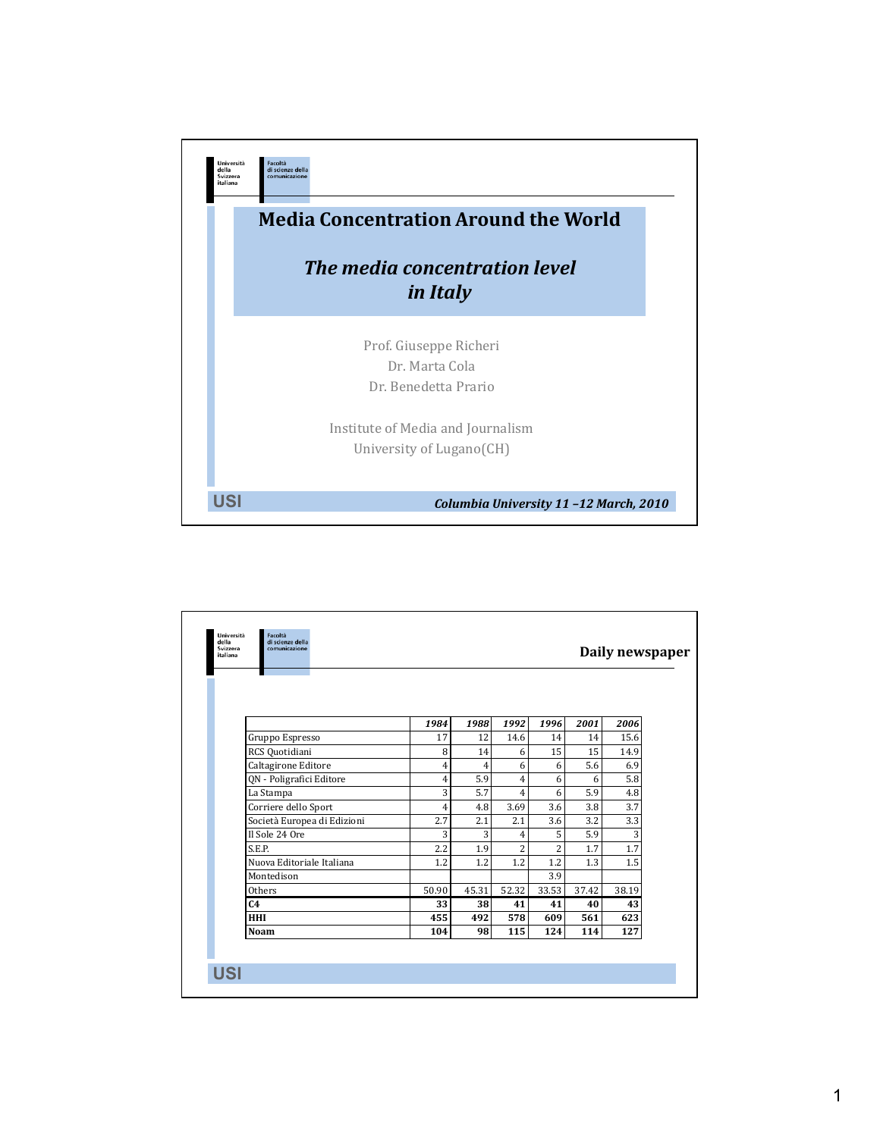

|                             |                |                |                |                |       | Daily newspaper |
|-----------------------------|----------------|----------------|----------------|----------------|-------|-----------------|
|                             |                |                |                |                |       |                 |
|                             |                |                |                |                |       |                 |
|                             | 1984           | 1988           | 1992           | 1996           | 2001  | 2006            |
| Gruppo Espresso             | 17             | 12             | 14.6           | 14             | 14    | 15.6            |
| RCS Quotidiani              | 8              | 14             | 6              | 15             | 15    | 14.9            |
| Caltagirone Editore         | $\overline{4}$ | $\overline{4}$ | 6              | 6              | 5.6   | 6.9             |
| QN - Poligrafici Editore    | $\overline{4}$ | 5.9            | 4              | 6              | 6     | 5.8             |
| La Stampa                   | 3              | 5.7            | 4              | 6              | 5.9   | 4.8             |
| Corriere dello Sport        | 4              | 4.8            | 3.69           | 3.6            | 3.8   | 3.7             |
| Società Europea di Edizioni | 2.7            | 2.1            | 2.1            | 3.6            | 3.2   | 3.3             |
| Il Sole 24 Ore              | 3              | 3              | 4              | 5              | 5.9   | 3               |
| S.E.P.                      | 2.2            | 1.9            | $\overline{2}$ | $\overline{2}$ | 1.7   | 1.7             |
| Nuova Editoriale Italiana   | 1.2            | 1.2            | 1.2            | 1.2            | 1.3   | 1.5             |
| Montedison                  |                |                |                | 3.9            |       |                 |
| Others                      | 50.90          | 45.31          | 52.32          | 33.53          | 37.42 | 38.19           |
| C <sub>4</sub>              | 33             | 38             | 41             | 41             | 40    | 43              |
| <b>HHI</b>                  | 455            | 492            | 578            | 609            | 561   | 623             |
| <b>Noam</b>                 | 104            | 98             | 115            | 124            | 114   | 127             |
|                             |                |                |                |                |       |                 |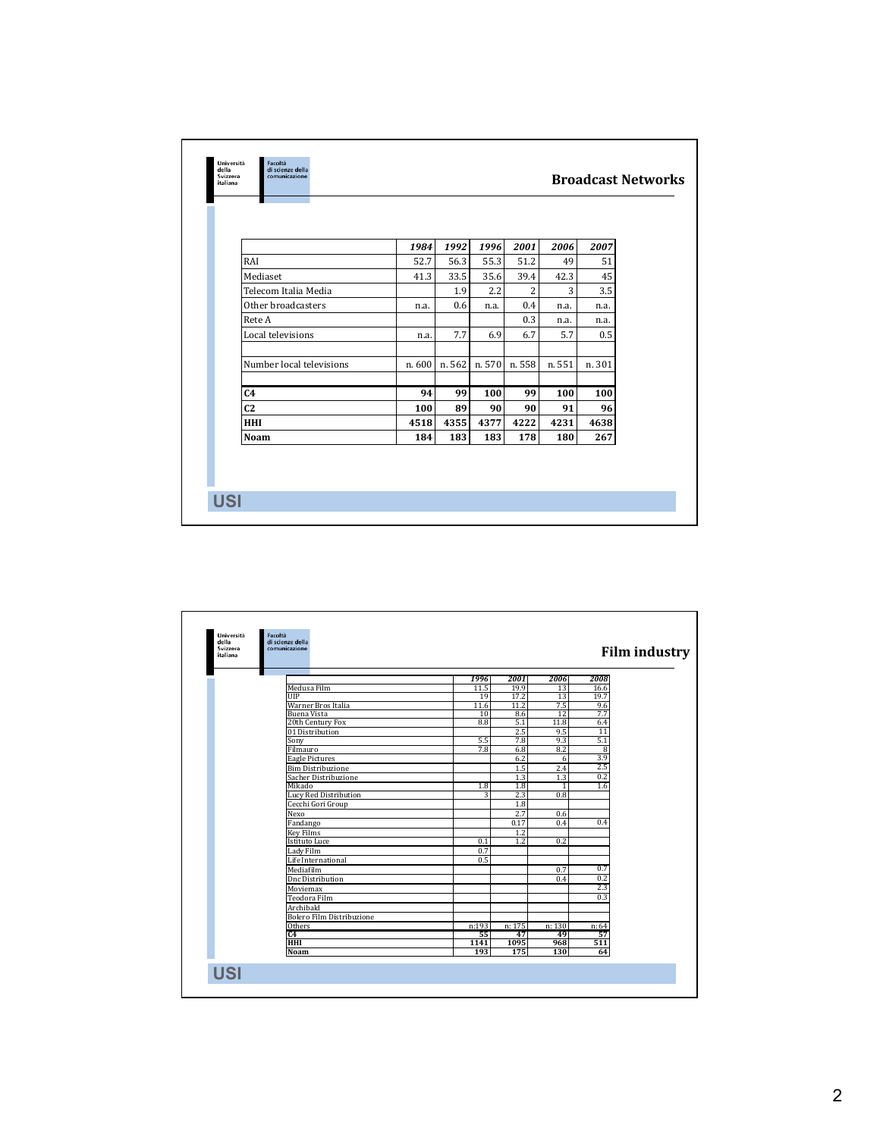|                          | 1984   | 1992   | 1996   | 2001           | 2006   | 2007   |
|--------------------------|--------|--------|--------|----------------|--------|--------|
| RAI                      | 52.7   | 56.3   | 55.3   | 51.2           | 49     | 51     |
| Mediaset                 | 41.3   | 33.5   | 35.6   | 39.4           | 42.3   | 45     |
| Telecom Italia Media     |        | 1.9    | 2.2    | $\overline{2}$ | 3      | 3.5    |
| Other broadcasters       | n.a.   | 0.6    | n.a.   | 0.4            | n.a.   | n.a.   |
| Rete A                   |        |        |        | 0.3            | n.a.   | n.a.   |
| Local televisions        | n.a.   | 7.7    | 6.9    | 6.7            | 5.7    | 0.5    |
| Number local televisions | n. 600 | n. 562 | n. 570 | n. 558         | n. 551 | n. 301 |
| C4                       | 94     | 99     | 100    | 99             | 100    | 100    |
| C <sub>2</sub>           | 100    | 89     | 90     | 90             | 91     | 96     |
| <b>HHI</b>               | 4518   | 4355   | 4377   | 4222           | 4231   | 4638   |
| <b>Noam</b>              | 184    | 183    | 183    | 178            | 180    | 267    |

| della<br>Svizzera<br>italiana | di scienze della<br>comunicazione |       |        |              | <b>Film industry</b> |
|-------------------------------|-----------------------------------|-------|--------|--------------|----------------------|
|                               |                                   | 1996  | 2001   | 2006         | 2008                 |
|                               | Medusa Film                       | 11.5  | 19.9   | 13           | 16.6                 |
|                               | <b>UIP</b>                        | 19    | 17.2   | 13           | 19.7                 |
|                               | Warner Bros Italia                | 11.6  | 11.2   | 7.5          | 9.6                  |
|                               | Buena Vista                       | 10    | 8.6    | 12           | 7.7                  |
|                               | 20th Century Fox                  | 8.8   | 5.1    | 11.8         | 6.4                  |
|                               | 01 Distribution                   |       | 2.5    | 9.5          | $\overline{11}$      |
|                               | Sony                              | 5.5   | 7.8    | 9.3          | 5.1                  |
|                               | Filmauro                          | 7.8   | 6.8    | 8.2          | 8                    |
|                               | <b>Eagle Pictures</b>             |       | 6.2    | 6            | 3.9                  |
|                               | <b>Bim Distribuzione</b>          |       | 1.5    | 2.4          | 2.5                  |
|                               | Sacher Distribuzione              |       | 1.3    | 1.3          | 0.2                  |
|                               | Mikado                            | 1.8   | 1.8    | $\mathbf{1}$ | 1.6                  |
|                               | <b>Lucy Red Distribution</b>      | 3     | 2.3    | 0.8          |                      |
|                               | Cecchi Gori Group                 |       | 1.8    |              |                      |
|                               | Nexo                              |       | 2.7    | 0.6          |                      |
|                               | Fandango                          |       | 0.17   | 0.4          | 0.4                  |
|                               | <b>Key Films</b>                  |       | 1.2    |              |                      |
|                               | <b>Istituto Luce</b>              | 0.1   | 1.2    | 0.2          |                      |
|                               | Lady Film                         | 0.7   |        |              |                      |
|                               | Life International                | 0.5   |        |              |                      |
|                               | Mediafilm                         |       |        | 0.7          | 0.7                  |
|                               | <b>Dnc Distribution</b>           |       |        | 0.4          | 0.2                  |
|                               | Moviemax                          |       |        |              | 2.3                  |
|                               | Teodora Film                      |       |        |              | 0.3                  |
|                               | Archibald                         |       |        |              |                      |
|                               | <b>Bolero Film Distribuzione</b>  |       |        |              |                      |
|                               | Others                            | n:193 | n: 175 | n:130        | n: 64                |
|                               | C4                                | 55    | 47     | 49           | 57                   |
|                               | <b>HHI</b>                        | 1141  | 1095   | 968          | 511                  |
|                               | <b>Noam</b>                       | 193   | 175    | 130          | 64                   |
|                               |                                   |       |        |              |                      |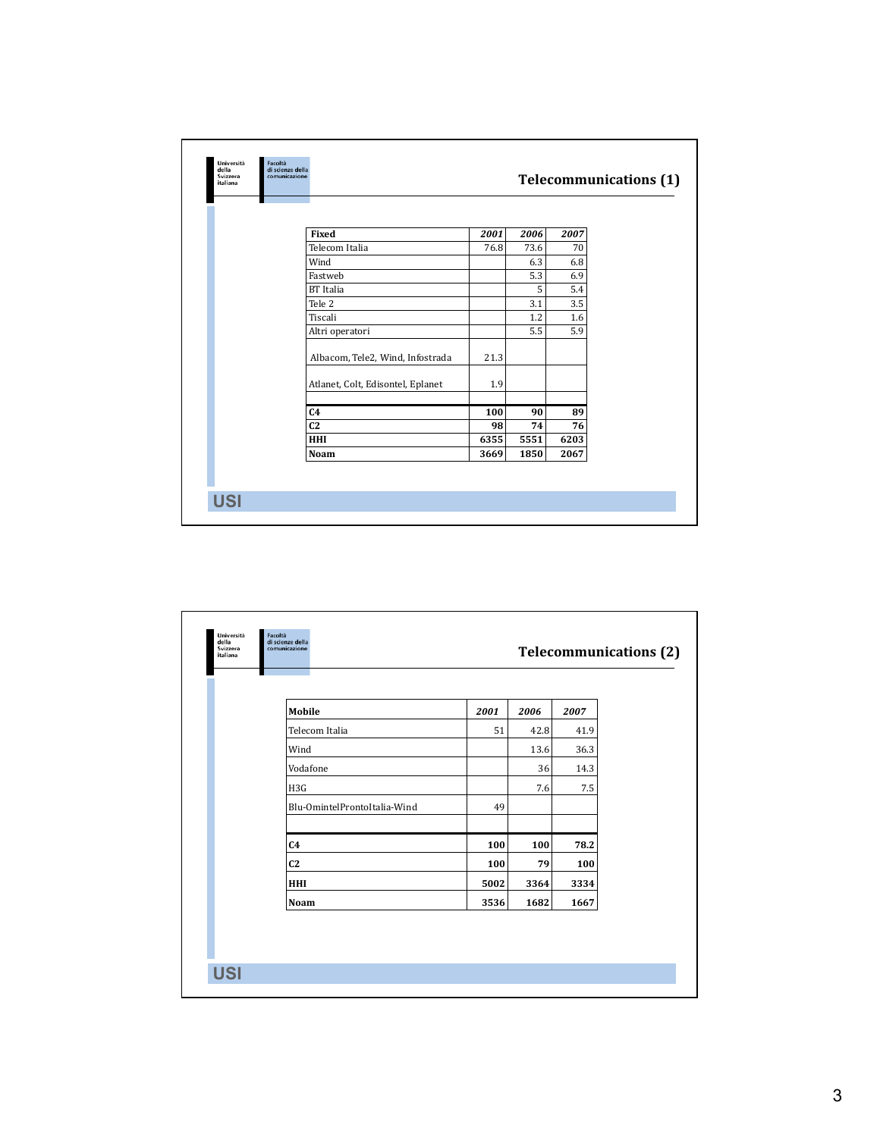| italiana |                                   |      |      | <b>Telecommunications (1)</b> |
|----------|-----------------------------------|------|------|-------------------------------|
|          |                                   |      |      |                               |
|          | Fixed                             | 2001 | 2006 | 2007                          |
|          | Telecom Italia                    | 76.8 | 73.6 | 70                            |
|          | Wind                              |      | 6.3  | 6.8                           |
|          | Fastweb                           |      | 5.3  | 6.9                           |
|          | <b>BT</b> Italia                  |      | 5    | 5.4                           |
|          | Tele <sub>2</sub>                 |      | 3.1  | 3.5                           |
|          | Tiscali                           |      | 1.2  | 1.6                           |
|          | Altri operatori                   |      | 5.5  | 5.9                           |
|          | Albacom, Tele2, Wind, Infostrada  | 21.3 |      |                               |
|          | Atlanet, Colt, Edisontel, Eplanet | 1.9  |      |                               |
|          | C <sub>4</sub>                    | 100  | 90   | 89                            |
|          | C <sub>2</sub>                    | 98   | 74   | 76                            |
|          | HHI                               | 6355 | 5551 | 6203                          |
|          | Noam                              | 3669 | 1850 | 2067                          |
|          |                                   |      |      |                               |

| Mobile                       | 2001 | 2006 | 2007 |
|------------------------------|------|------|------|
| Telecom Italia               | 51   | 42.8 | 41.9 |
| Wind                         |      | 13.6 | 36.3 |
| Vodafone                     |      | 36   | 14.3 |
| H3G                          |      | 7.6  | 7.5  |
| Blu-OmintelProntoItalia-Wind | 49   |      |      |
| C <sub>4</sub>               | 100  | 100  | 78.2 |
| C <sub>2</sub>               | 100  | 79   | 100  |
| <b>HHI</b>                   | 5002 | 3364 | 3334 |
| Noam                         | 3536 | 1682 | 1667 |